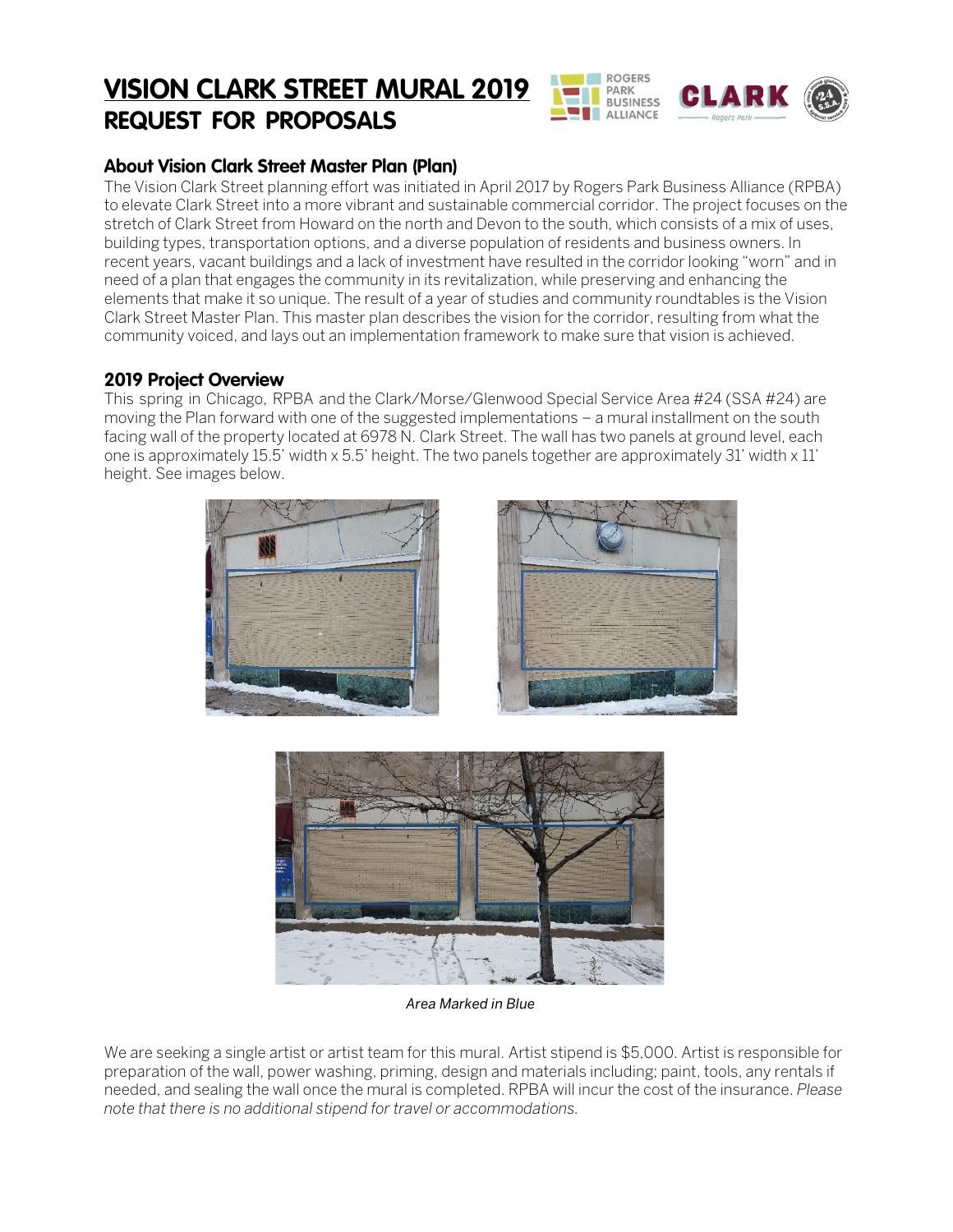# **VISION CLARK STREET MURAL 2019 REQUEST FOR PROPOSALS**



## **About Vision Clark Street Master Plan (Plan)**

The Vision Clark Street planning effort was initiated in April 2017 by Rogers Park Business Alliance (RPBA) to elevate Clark Street into a more vibrant and sustainable commercial corridor. The project focuses on the stretch of Clark Street from Howard on the north and Devon to the south, which consists of a mix of uses, building types, transportation options, and a diverse population of residents and business owners. In recent years, vacant buildings and a lack of investment have resulted in the corridor looking "worn" and in need of a plan that engages the community in its revitalization, while preserving and enhancing the elements that make it so unique. The result of a year of studies and community roundtables is the Vision Clark Street Master Plan. This master plan describes the vision for the corridor, resulting from what the community voiced, and lays out an implementation framework to make sure that vision is achieved.

#### **2019 Project Overview**

This spring in Chicago, RPBA and the Clark/Morse/Glenwood Special Service Area #24 (SSA #24) are moving the Plan forward with one of the suggested implementations – a mural installment on the south facing wall of the property located at 6978 N. Clark Street. The wall has two panels at ground level, each one is approximately 15.5' width x 5.5' height. The two panels together are approximately 31' width x 11' height. See images below.





*Area Marked in Blue*

We are seeking a single artist or artist team for this mural. Artist stipend is \$5,000. Artist is responsible for preparation of the wall, power washing, priming, design and materials including; paint, tools, any rentals if needed, and sealing the wall once the mural is completed. RPBA will incur the cost of the insurance. *Please note that there is no additional stipend for travel or accommodations.*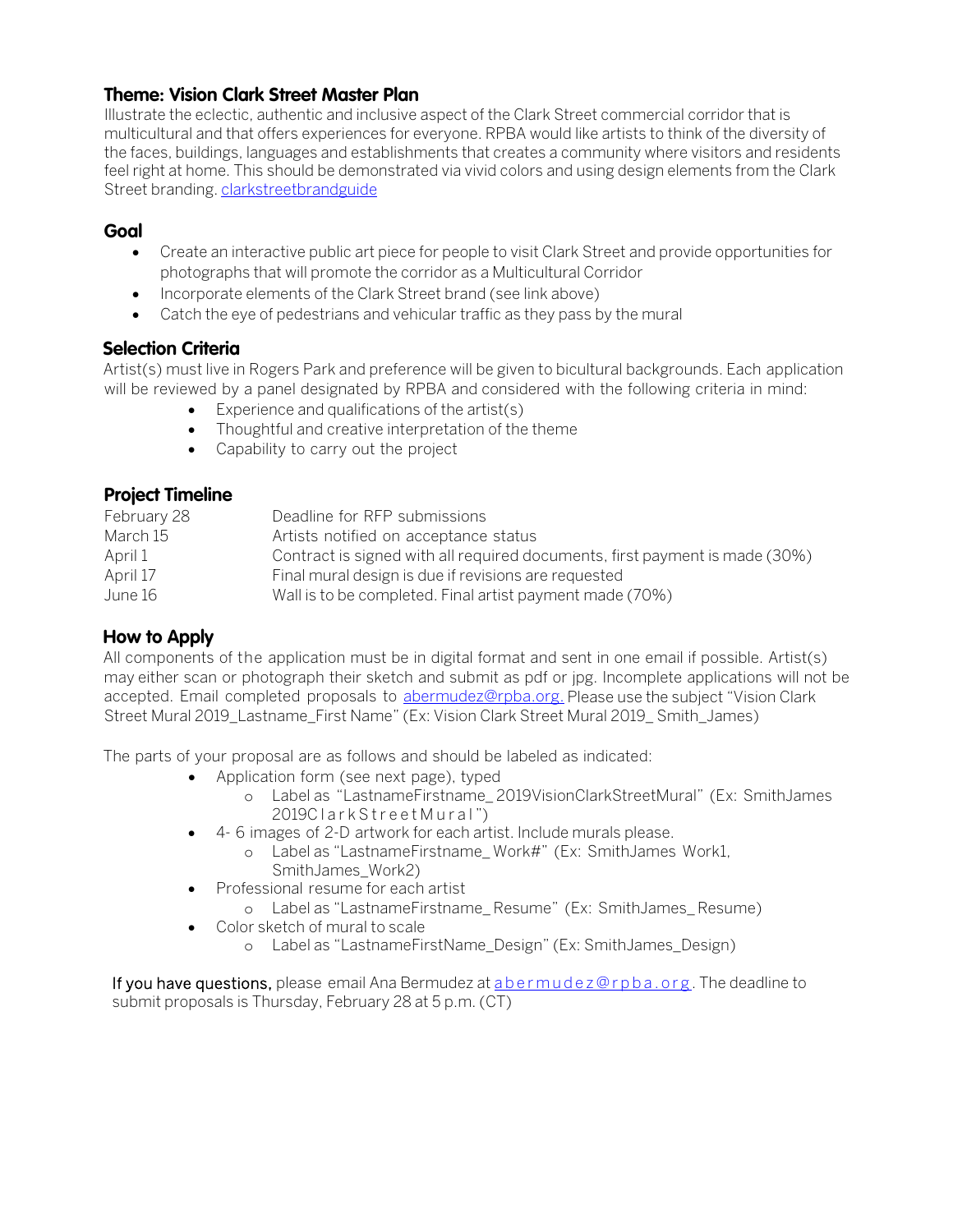#### **Theme: Vision Clark Street Master Plan**

Illustrate the eclectic, authentic and inclusive aspect of the Clark Street commercial corridor that is multicultural and that offers experiences for everyone. RPBA would like artists to think of the diversity of the faces, buildings, languages and establishments that creates a community where visitors and residents feel right at home. This should be demonstrated via vivid colors and using design elements from the Clark Street branding. [clarkstreetbrandguide](https://rpba.org/clarkstreetbrandguide-fnl/)

## **Goal**

- Create an interactive public art piece for people to visit Clark Street and provide opportunities for photographs that will promote the corridor as a Multicultural Corridor
- Incorporate elements of the Clark Street brand (see link above)
- Catch the eye of pedestrians and vehicular traffic as they pass by the mural

#### **Selection Criteria**

Artist(s) must live in Rogers Park and preference will be given to bicultural backgrounds. Each application will be reviewed by a panel designated by RPBA and considered with the following criteria in mind:

- Experience and qualifications of the artist(s)
- Thoughtful and creative interpretation of the theme
- Capability to carry out the project

#### **Project Timeline**

| February 28 | Deadline for RFP submissions                                                |  |  |
|-------------|-----------------------------------------------------------------------------|--|--|
| March 15    | Artists notified on acceptance status                                       |  |  |
| April 1     | Contract is signed with all required documents, first payment is made (30%) |  |  |
| April 17    | Final mural design is due if revisions are requested                        |  |  |
| June 16     | Wall is to be completed. Final artist payment made (70%)                    |  |  |
|             |                                                                             |  |  |

#### **How to Apply**

All components of the application must be in digital format and sent in one email if possible. Artist(s) may either scan or photograph their sketch and submit as pdf or jpg. Incomplete applications will not be accepted. Email completed proposals to [abermudez@rpba.org.](mailto:abermudez@rpba.org.) Please use the subject "Vision Clark Street Mural 2019\_Lastname\_First Name" (Ex: Vision Clark Street Mural 2019\_ Smith\_James)

The parts of your proposal are as follows and should be labeled as indicated:

- Application form (see next page), typed
	- o Label as "LastnameFirstname\_ 2019VisionClarkStreetMural" (Ex: SmithJames 2019ClarkStreetMural ")
- 4- 6 images of 2-D artwork for each artist. Include murals please.
	- o Label as "LastnameFirstname\_ Work#" (Ex: SmithJames Work1, SmithJames\_Work2)
- Professional resume for each artist
	- o Label as "LastnameFirstname\_ Resume" (Ex: SmithJames\_ Resume)
- Color sketch of mural to scale
	- o Label as "LastnameFirstName\_Design" (Ex: SmithJames\_Design)

If you have questions, please email Ana Bermudez at [abermudez@rpba.org](mailto:abermudez@rpba.org). The deadline to submit proposals is Thursday, February 28 at 5 p.m. (CT)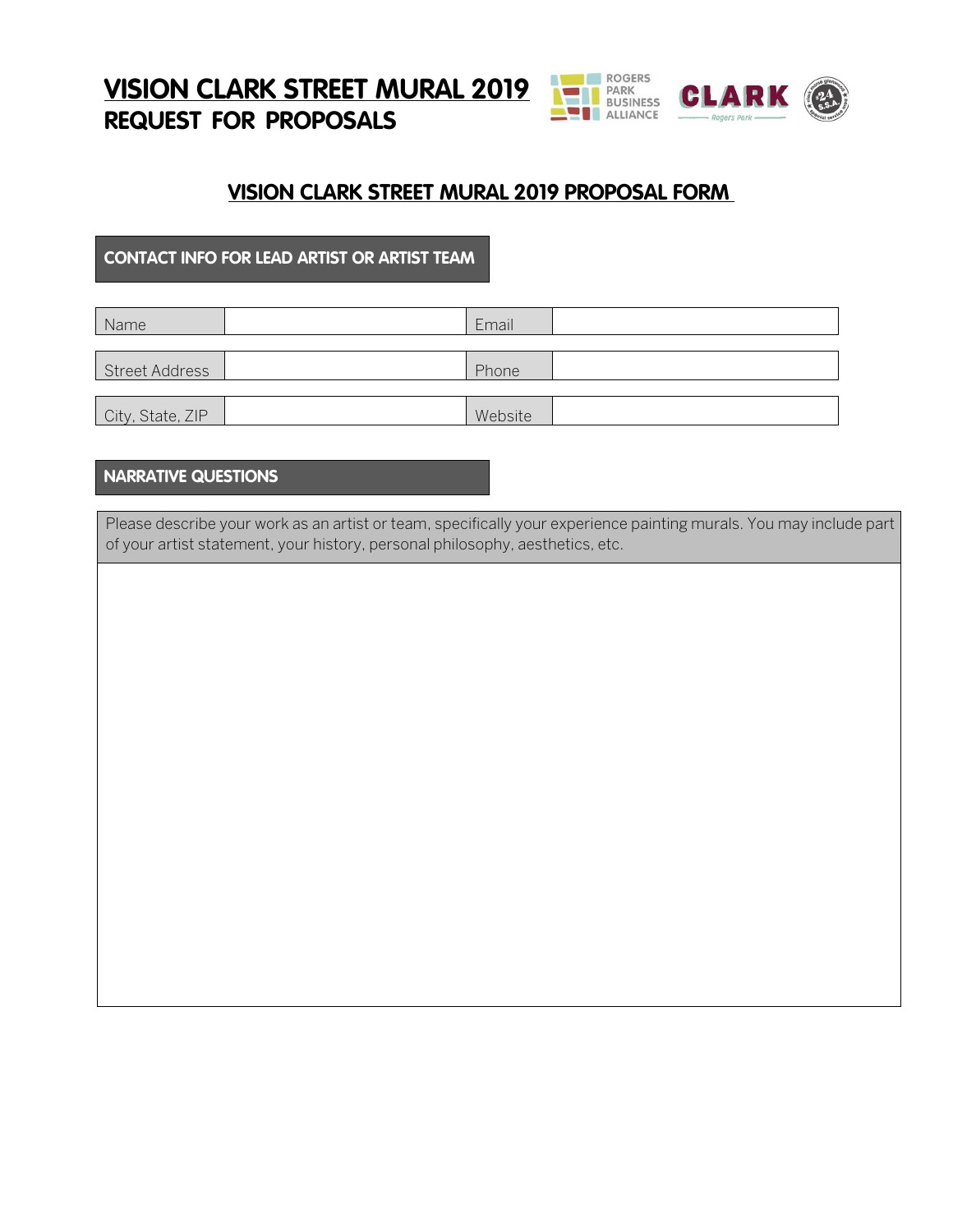**VISION CLARK STREET MURAL 2019 REQUEST FOR PROPOSALS**



# **VISION CLARK STREET MURAL 2019 PROPOSAL FORM**

#### **CONTACT INFO FOR LEAD ARTIST OR ARTIST TEAM**

| Name             | Email   |  |
|------------------|---------|--|
|                  |         |  |
| Street Address   | Phone   |  |
|                  |         |  |
| City, State, ZIP | Website |  |

## **NARRATIVE QUESTIONS**

Please describe your work as an artist or team, specifically your experience painting murals. You may include part of your artist statement, your history, personal philosophy, aesthetics, etc.